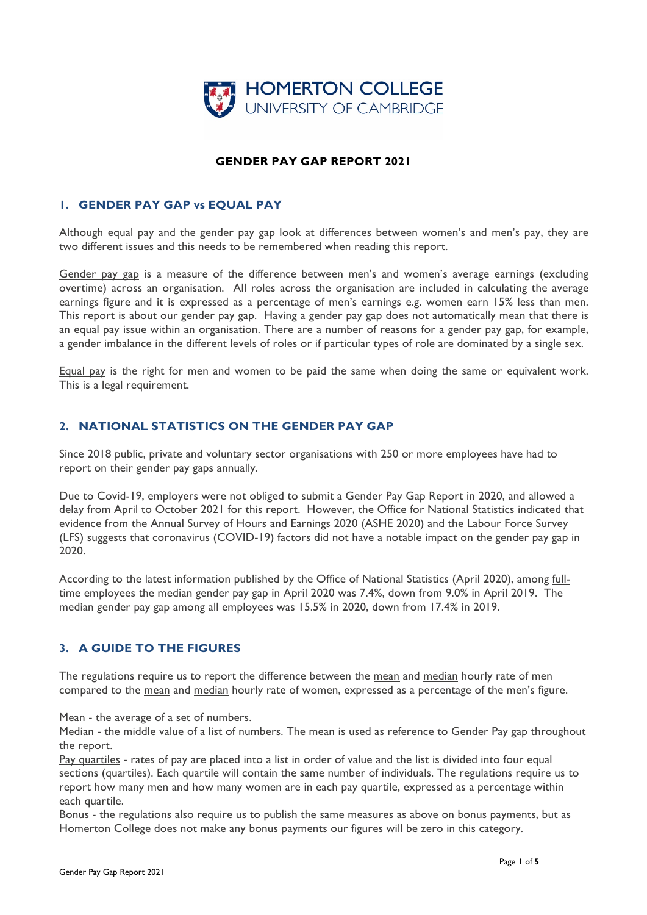

# **GENDER PAY GAP REPORT 2021**

# **1. GENDER PAY GAP vs EQUAL PAY**

Although equal pay and the gender pay gap look at differences between women's and men's pay, they are two different issues and this needs to be remembered when reading this report.

Gender pay gap is a measure of the difference between men's and women's average earnings (excluding overtime) across an organisation. All roles across the organisation are included in calculating the average earnings figure and it is expressed as a percentage of men's earnings e.g. women earn 15% less than men. This report is about our gender pay gap. Having a gender pay gap does not automatically mean that there is an equal pay issue within an organisation. There are a number of reasons for a gender pay gap, for example, a gender imbalance in the different levels of roles or if particular types of role are dominated by a single sex.

Equal pay is the right for men and women to be paid the same when doing the same or equivalent work. This is a legal requirement.

### **2. NATIONAL STATISTICS ON THE GENDER PAY GAP**

Since 2018 public, private and voluntary sector organisations with 250 or more employees have had to report on their gender pay gaps annually.

Due to Covid-19, employers were not obliged to submit a Gender Pay Gap Report in 2020, and allowed a delay from April to October 2021 for this report. However, the Office for National Statistics indicated that evidence from the Annual Survey of Hours and Earnings 2020 (ASHE 2020) and the Labour Force Survey (LFS) suggests that coronavirus (COVID-19) factors did not have a notable impact on the gender pay gap in 2020.

According to the latest information published by the Office of National Statistics (April 2020), among fulltime employees the median gender pay gap in April 2020 was 7.4%, down from 9.0% in April 2019. The median gender pay gap among all employees was 15.5% in 2020, down from 17.4% in 2019.

# **3. A GUIDE TO THE FIGURES**

The regulations require us to report the difference between the mean and median hourly rate of men compared to the mean and median hourly rate of women, expressed as a percentage of the men's figure.

Mean - the average of a set of numbers.

Median - the middle value of a list of numbers. The mean is used as reference to Gender Pay gap throughout the report.

Pay quartiles - rates of pay are placed into a list in order of value and the list is divided into four equal sections (quartiles). Each quartile will contain the same number of individuals. The regulations require us to report how many men and how many women are in each pay quartile, expressed as a percentage within each quartile.

Bonus - the regulations also require us to publish the same measures as above on bonus payments, but as Homerton College does not make any bonus payments our figures will be zero in this category.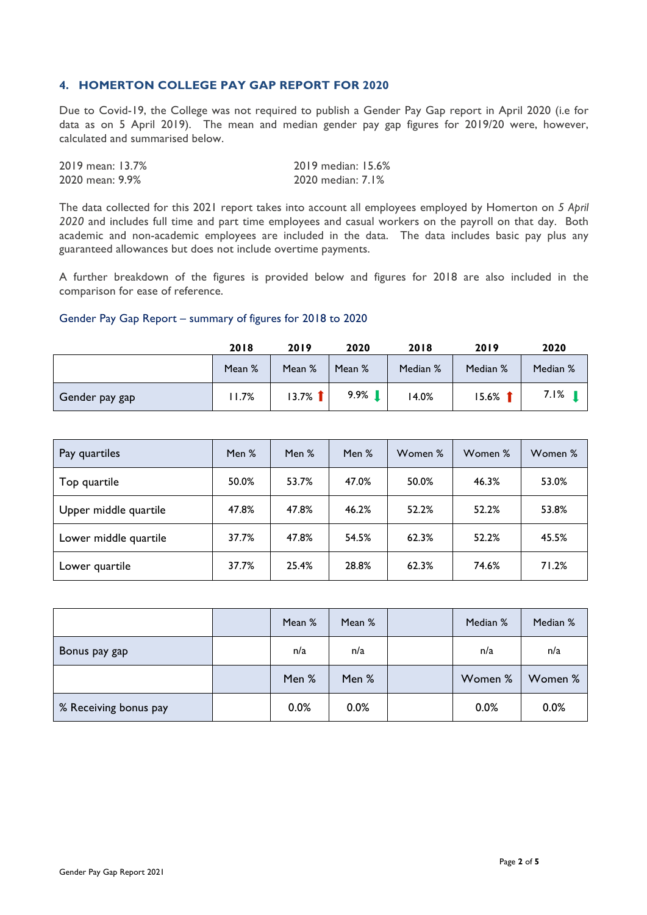#### **4. HOMERTON COLLEGE PAY GAP REPORT FOR 2020**

Due to Covid-19, the College was not required to publish a Gender Pay Gap report in April 2020 (i.e for data as on 5 April 2019). The mean and median gender pay gap figures for 2019/20 were, however, calculated and summarised below.

| 2019 mean: 13.7% | 2019 median: 15.6% |
|------------------|--------------------|
| 2020 mean: 9.9%  | 2020 median: 7.1%  |

The data collected for this 2021 report takes into account all employees employed by Homerton on *5 April 2020* and includes full time and part time employees and casual workers on the payroll on that day. Both academic and non-academic employees are included in the data. The data includes basic pay plus any guaranteed allowances but does not include overtime payments.

A further breakdown of the figures is provided below and figures for 2018 are also included in the comparison for ease of reference.

#### Gender Pay Gap Report – summary of figures for 2018 to 2020

|                | 2018   | 2019      | 2020   | 2018     | 2019      | 2020     |
|----------------|--------|-----------|--------|----------|-----------|----------|
|                | Mean % | Mean %    | Mean % | Median % | Median %  | Median % |
| Gender pay gap | 11.7%  | $13.7%$ 1 | 9.9%   | 4.0%     | $15.6%$ 1 | 7.I%     |

| Pay quartiles         | Men % | Men % | Men % | Women % | Women % | Women % |
|-----------------------|-------|-------|-------|---------|---------|---------|
| Top quartile          | 50.0% | 53.7% | 47.0% | 50.0%   | 46.3%   | 53.0%   |
| Upper middle quartile | 47.8% | 47.8% | 46.2% | 52.2%   | 52.2%   | 53.8%   |
| Lower middle quartile | 37.7% | 47.8% | 54.5% | 62.3%   | 52.2%   | 45.5%   |
| Lower quartile        | 37.7% | 25.4% | 28.8% | 62.3%   | 74.6%   | 71.2%   |

|                       | Mean % | Mean % | Median % | Median % |
|-----------------------|--------|--------|----------|----------|
| Bonus pay gap         | n/a    | n/a    | n/a      | n/a      |
|                       | Men %  | Men %  | Women %  | Women %  |
| % Receiving bonus pay | 0.0%   | 0.0%   | 0.0%     | 0.0%     |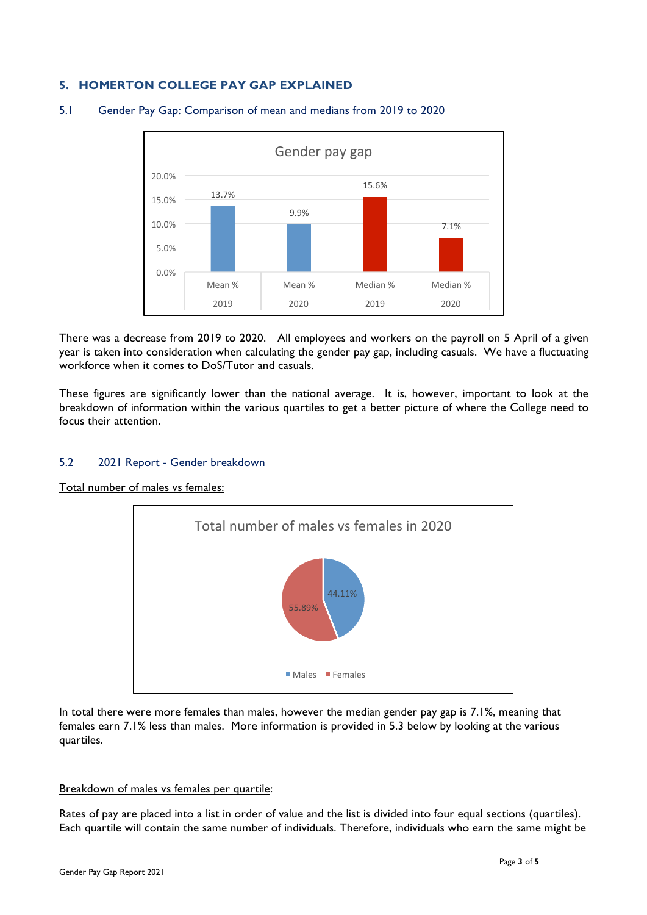# **5. HOMERTON COLLEGE PAY GAP EXPLAINED**



#### 5.1 Gender Pay Gap: Comparison of mean and medians from 2019 to 2020

There was a decrease from 2019 to 2020. All employees and workers on the payroll on 5 April of a given year is taken into consideration when calculating the gender pay gap, including casuals. We have a fluctuating workforce when it comes to DoS/Tutor and casuals.

These figures are significantly lower than the national average. It is, however, important to look at the breakdown of information within the various quartiles to get a better picture of where the College need to focus their attention.

### 5.2 2021 Report - Gender breakdown

#### Total number of males vs females:



In total there were more females than males, however the median gender pay gap is 7.1%, meaning that females earn 7.1% less than males. More information is provided in 5.3 below by looking at the various quartiles.

#### Breakdown of males vs females per quartile:

Rates of pay are placed into a list in order of value and the list is divided into four equal sections (quartiles). Each quartile will contain the same number of individuals. Therefore, individuals who earn the same might be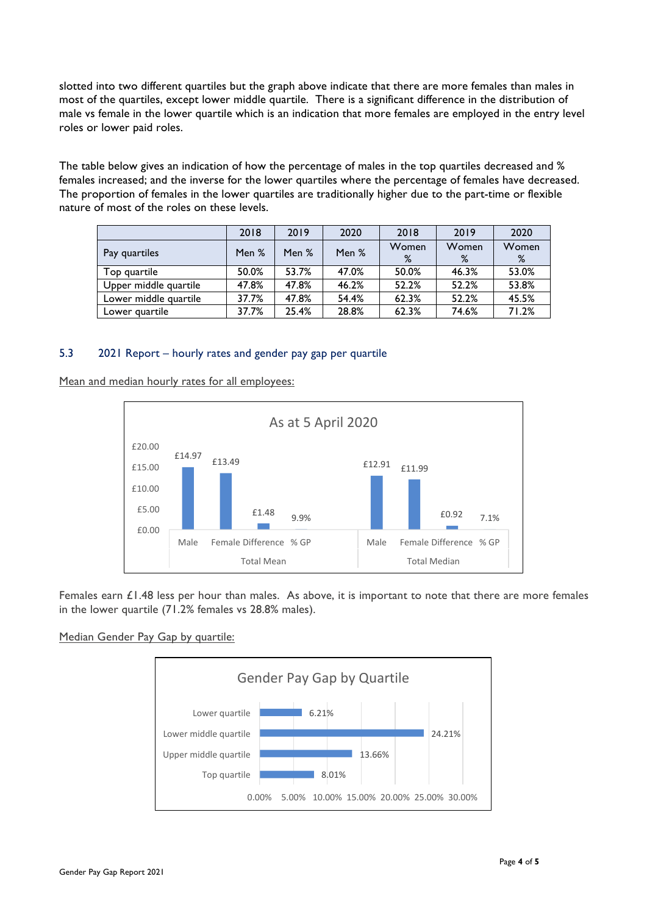slotted into two different quartiles but the graph above indicate that there are more females than males in most of the quartiles, except lower middle quartile. There is a significant difference in the distribution of male vs female in the lower quartile which is an indication that more females are employed in the entry level roles or lower paid roles.

The table below gives an indication of how the percentage of males in the top quartiles decreased and % females increased; and the inverse for the lower quartiles where the percentage of females have decreased. The proportion of females in the lower quartiles are traditionally higher due to the part-time or flexible nature of most of the roles on these levels.

|                       | 2018  | 2019  | 2020  | 2018       | 2019       | 2020       |
|-----------------------|-------|-------|-------|------------|------------|------------|
| Pay quartiles         | Men % | Men % | Men % | Women<br>% | Women<br>% | Women<br>% |
| Top quartile          | 50.0% | 53.7% | 47.0% | 50.0%      | 46.3%      | 53.0%      |
| Upper middle quartile | 47.8% | 47.8% | 46.2% | 52.2%      | 52.2%      | 53.8%      |
| Lower middle quartile | 37.7% | 47.8% | 54.4% | 62.3%      | 52.2%      | 45.5%      |
| Lower guartile        | 37.7% | 25.4% | 28.8% | 62.3%      | 74.6%      | 71.2%      |

# 5.3 2021 Report – hourly rates and gender pay gap per quartile

Mean and median hourly rates for all employees:



Females earn £1.48 less per hour than males. As above, it is important to note that there are more females in the lower quartile (71.2% females vs 28.8% males).

### Median Gender Pay Gap by quartile: